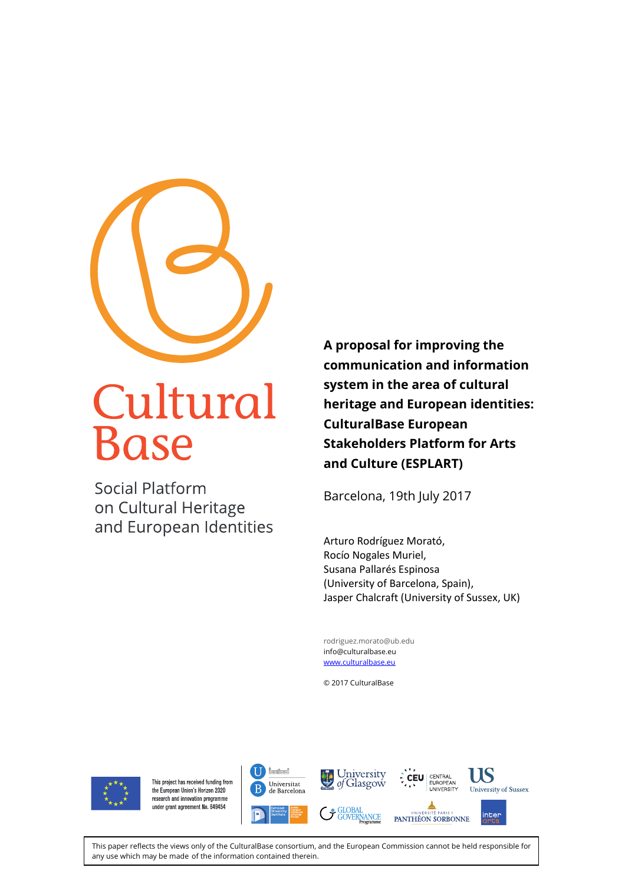

# Cultural Base

**Social Platform** on Cultural Heritage and European Identities

**A proposal for improving the communication and information system in the area of cultural heritage and European identities: CulturalBase European Stakeholders Platform for Arts and Culture (ESPLART)**

Barcelona, 19th July 2017

Arturo Rodríguez Morató, Rocío Nogales Muriel, Susana Pallarés Espinosa (University of Barcelona, Spain), Jasper Chalcraft (University of Sussex, UK)

rodriguez.morato@ub.edu info@culturalbase.eu [www.culturalbase.eu](http://www.culturalbase.eu/)

© 2017 CulturalBase



This project has received funding from the European Union's Horizon 2020 research and innovation programme under grant agreement No. 649454







CENTRAL



inter

This paper reflects the views only of the CulturalBase consortium, and the European Commission cannot be held responsible for any use which may be made of the information contained therein.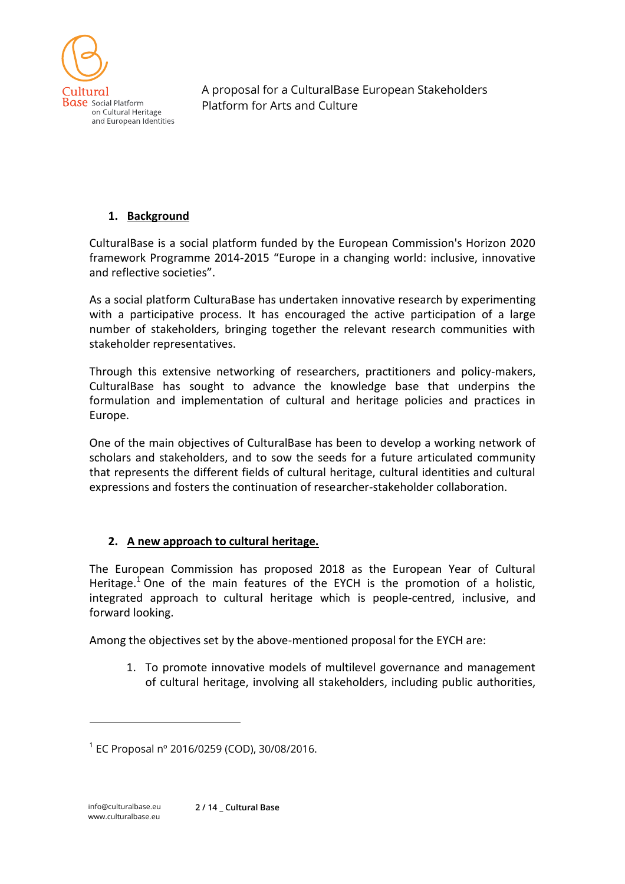

### **1. Background**

CulturalBase is a social platform funded by the European Commission's Horizon 2020 framework Programme 2014-2015 "Europe in a changing world: inclusive, innovative and reflective societies".

As a social platform CulturaBase has undertaken innovative research by experimenting with a participative process. It has encouraged the active participation of a large number of stakeholders, bringing together the relevant research communities with stakeholder representatives.

Through this extensive networking of researchers, practitioners and policy-makers, CulturalBase has sought to advance the knowledge base that underpins the formulation and implementation of cultural and heritage policies and practices in Europe.

One of the main objectives of CulturalBase has been to develop a working network of scholars and stakeholders, and to sow the seeds for a future articulated community that represents the different fields of cultural heritage, cultural identities and cultural expressions and fosters the continuation of researcher-stakeholder collaboration.

#### **2. A new approach to cultural heritage.**

The European Commission has proposed 2018 as the European Year of Cultural Heritage.<sup>1</sup> One of the main features of the EYCH is the promotion of a holistic, integrated approach to cultural heritage which is people-centred, inclusive, and forward looking.

Among the objectives set by the above-mentioned proposal for the EYCH are:

1. To promote innovative models of multilevel governance and management of cultural heritage, involving all stakeholders, including public authorities,

1

<sup>1</sup> EC Proposal nº 2016/0259 (COD), 30/08/2016.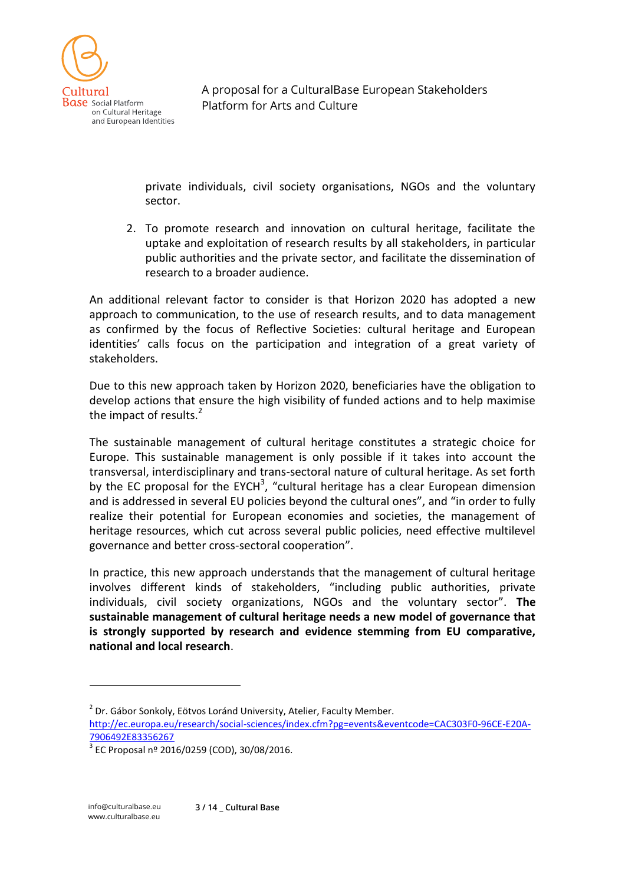

private individuals, civil society organisations, NGOs and the voluntary sector.

2. To promote research and innovation on cultural heritage, facilitate the uptake and exploitation of research results by all stakeholders, in particular public authorities and the private sector, and facilitate the dissemination of research to a broader audience.

An additional relevant factor to consider is that Horizon 2020 has adopted a new approach to communication, to the use of research results, and to data management as confirmed by the focus of Reflective Societies: cultural heritage and European identities' calls focus on the participation and integration of a great variety of stakeholders.

Due to this new approach taken by Horizon 2020, beneficiaries have the obligation to develop actions that ensure the high visibility of funded actions and to help maximise the impact of results. $2$ 

The sustainable management of cultural heritage constitutes a strategic choice for Europe. This sustainable management is only possible if it takes into account the transversal, interdisciplinary and trans-sectoral nature of cultural heritage. As set forth by the EC proposal for the EYCH<sup>3</sup>, "cultural heritage has a clear European dimension and is addressed in several EU policies beyond the cultural ones", and "in order to fully realize their potential for European economies and societies, the management of heritage resources, which cut across several public policies, need effective multilevel governance and better cross-sectoral cooperation".

In practice, this new approach understands that the management of cultural heritage involves different kinds of stakeholders, "including public authorities, private individuals, civil society organizations, NGOs and the voluntary sector". **The sustainable management of cultural heritage needs a new model of governance that is strongly supported by research and evidence stemming from EU comparative, national and local research**.

<sup>2</sup> Dr. Gábor Sonkoly, Eötvos Loránd University, Atelier, Faculty Member.

[http://ec.europa.eu/research/social-sciences/index.cfm?pg=events&eventcode=CAC303F0-96CE-E20A-](http://ec.europa.eu/research/social-sciences/index.cfm?pg=events&eventcode=CAC303F0-96CE-E20A-7906492E83356267)[7906492E83356267](http://ec.europa.eu/research/social-sciences/index.cfm?pg=events&eventcode=CAC303F0-96CE-E20A-7906492E83356267)

<sup>3</sup> EC Proposal nº 2016/0259 (COD), 30/08/2016.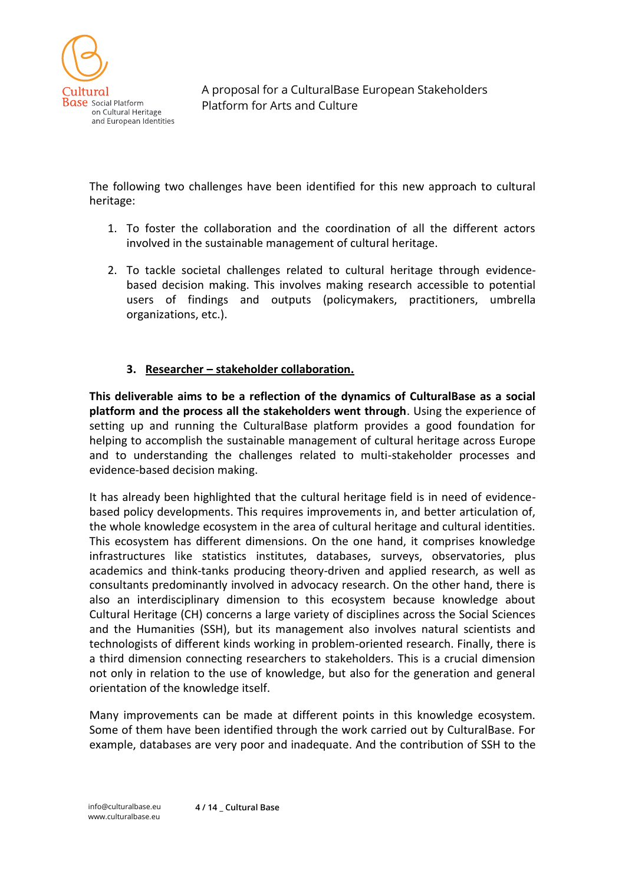

The following two challenges have been identified for this new approach to cultural heritage:

- 1. To foster the collaboration and the coordination of all the different actors involved in the sustainable management of cultural heritage.
- 2. To tackle societal challenges related to cultural heritage through evidencebased decision making. This involves making research accessible to potential users of findings and outputs (policymakers, practitioners, umbrella organizations, etc.).

#### **3. Researcher – stakeholder collaboration.**

**This deliverable aims to be a reflection of the dynamics of CulturalBase as a social platform and the process all the stakeholders went through**. Using the experience of setting up and running the CulturalBase platform provides a good foundation for helping to accomplish the sustainable management of cultural heritage across Europe and to understanding the challenges related to multi-stakeholder processes and evidence-based decision making.

It has already been highlighted that the cultural heritage field is in need of evidencebased policy developments. This requires improvements in, and better articulation of, the whole knowledge ecosystem in the area of cultural heritage and cultural identities. This ecosystem has different dimensions. On the one hand, it comprises knowledge infrastructures like statistics institutes, databases, surveys, observatories, plus academics and think-tanks producing theory-driven and applied research, as well as consultants predominantly involved in advocacy research. On the other hand, there is also an interdisciplinary dimension to this ecosystem because knowledge about Cultural Heritage (CH) concerns a large variety of disciplines across the Social Sciences and the Humanities (SSH), but its management also involves natural scientists and technologists of different kinds working in problem-oriented research. Finally, there is a third dimension connecting researchers to stakeholders. This is a crucial dimension not only in relation to the use of knowledge, but also for the generation and general orientation of the knowledge itself.

Many improvements can be made at different points in this knowledge ecosystem. Some of them have been identified through the work carried out by CulturalBase. For example, databases are very poor and inadequate. And the contribution of SSH to the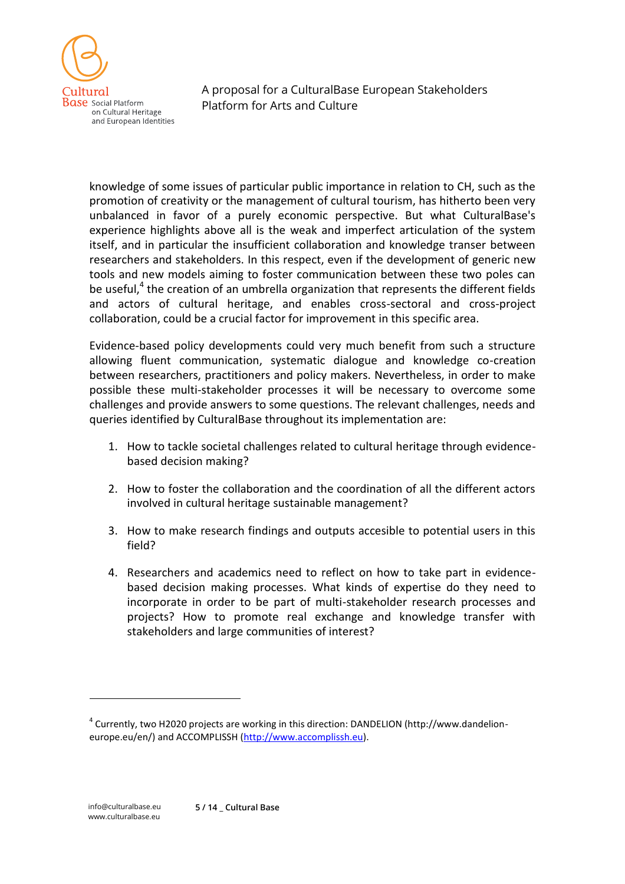

knowledge of some issues of particular public importance in relation to CH, such as the promotion of creativity or the management of cultural tourism, has hitherto been very unbalanced in favor of a purely economic perspective. But what CulturalBase's experience highlights above all is the weak and imperfect articulation of the system itself, and in particular the insufficient collaboration and knowledge transer between researchers and stakeholders. In this respect, even if the development of generic new tools and new models aiming to foster communication between these two poles can be useful,<sup>4</sup> the creation of an umbrella organization that represents the different fields and actors of cultural heritage, and enables cross-sectoral and cross-project collaboration, could be a crucial factor for improvement in this specific area.

Evidence-based policy developments could very much benefit from such a structure allowing fluent communication, systematic dialogue and knowledge co-creation between researchers, practitioners and policy makers. Nevertheless, in order to make possible these multi-stakeholder processes it will be necessary to overcome some challenges and provide answers to some questions. The relevant challenges, needs and queries identified by CulturalBase throughout its implementation are:

- 1. How to tackle societal challenges related to cultural heritage through evidencebased decision making?
- 2. How to foster the collaboration and the coordination of all the different actors involved in cultural heritage sustainable management?
- 3. How to make research findings and outputs accesible to potential users in this field?
- 4. Researchers and academics need to reflect on how to take part in evidencebased decision making processes. What kinds of expertise do they need to incorporate in order to be part of multi-stakeholder research processes and projects? How to promote real exchange and knowledge transfer with stakeholders and large communities of interest?

1

<sup>&</sup>lt;sup>4</sup> Currently, two H2020 projects are working in this direction: DANDELION (http://www.dandelion-europe.eu/en/) and ACCOMPLISSH [\(http://www.accomplissh.eu\)](http://www.accomplissh.eu/).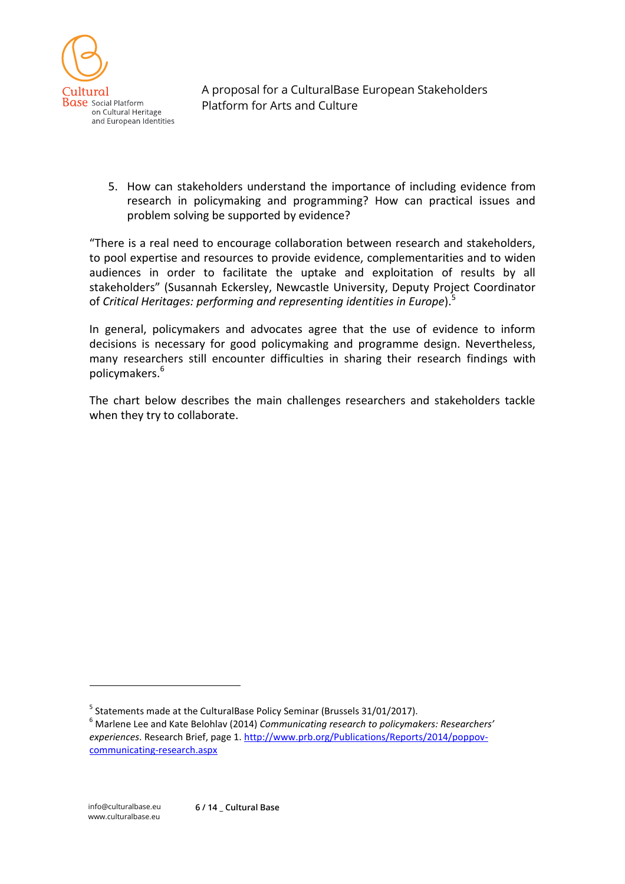

5. How can stakeholders understand the importance of including evidence from research in policymaking and programming? How can practical issues and problem solving be supported by evidence?

"There is a real need to encourage collaboration between research and stakeholders, to pool expertise and resources to provide evidence, complementarities and to widen audiences in order to facilitate the uptake and exploitation of results by all stakeholders" (Susannah Eckersley, Newcastle University, Deputy Project Coordinator of *Critical Heritages: performing and representing identities in Europe*).<sup>5</sup>

In general, policymakers and advocates agree that the use of evidence to inform decisions is necessary for good policymaking and programme design. Nevertheless, many researchers still encounter difficulties in sharing their research findings with policymakers.<sup>6</sup>

The chart below describes the main challenges researchers and stakeholders tackle when they try to collaborate.

<sup>&</sup>lt;sup>5</sup> Statements made at the CulturalBase Policy Seminar (Brussels 31/01/2017).

<sup>6</sup> Marlene Lee and Kate Belohlav (2014) *Communicating research to policymakers: Researchers' experiences*. Research Brief, page 1[. http://www.prb.org/Publications/Reports/2014/poppov](http://www.prb.org/Publications/Reports/2014/poppov-communicating-research.aspx)[communicating-research.aspx](http://www.prb.org/Publications/Reports/2014/poppov-communicating-research.aspx)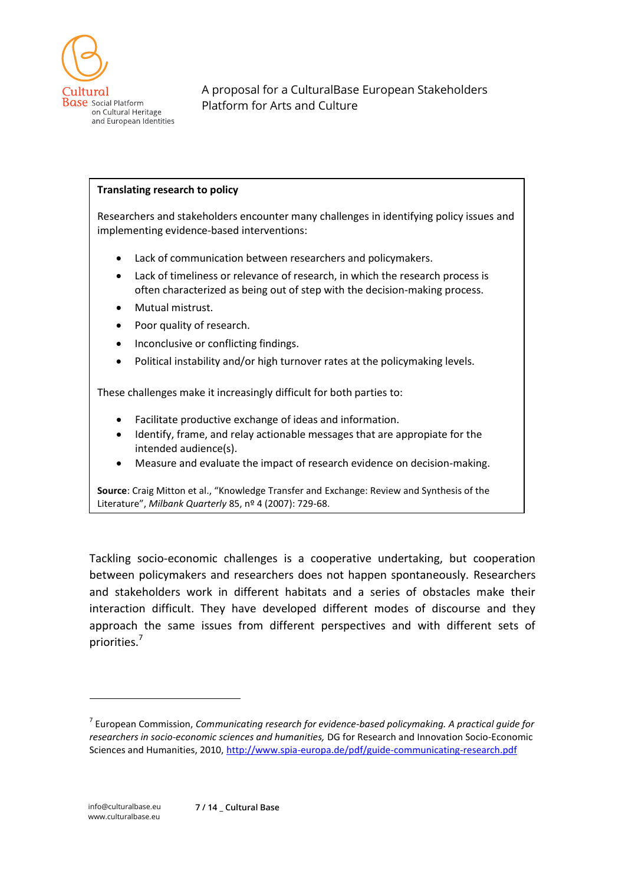

#### **Translating research to policy**

Researchers and stakeholders encounter many challenges in identifying policy issues and implementing evidence-based interventions:

- Lack of communication between researchers and policymakers.
- Lack of timeliness or relevance of research, in which the research process is often characterized as being out of step with the decision-making process.
- Mutual mistrust.
- Poor quality of research.
- Inconclusive or conflicting findings.
- Political instability and/or high turnover rates at the policymaking levels.

These challenges make it increasingly difficult for both parties to:

- Facilitate productive exchange of ideas and information.
- Identify, frame, and relay actionable messages that are appropiate for the intended audience(s).
- Measure and evaluate the impact of research evidence on decision-making.

**Source**: Craig Mitton et al., "Knowledge Transfer and Exchange: Review and Synthesis of the Literature", *Milbank Quarterly* 85, nº 4 (2007): 729-68.

Tackling socio-economic challenges is a cooperative undertaking, but cooperation between policymakers and researchers does not happen spontaneously. Researchers and stakeholders work in different habitats and a series of obstacles make their interaction difficult. They have developed different modes of discourse and they approach the same issues from different perspectives and with different sets of priorities.<sup>7</sup>

1

<sup>7</sup> European Commission, *Communicating research for evidence-based policymaking. A practical guide for researchers in socio-economic sciences and humanities,* DG for Research and Innovation Socio-Economic Sciences and Humanities, 2010[, http://www.spia-europa.de/pdf/guide-communicating-research.pdf](http://www.spia-europa.de/pdf/guide-communicating-research.pdf)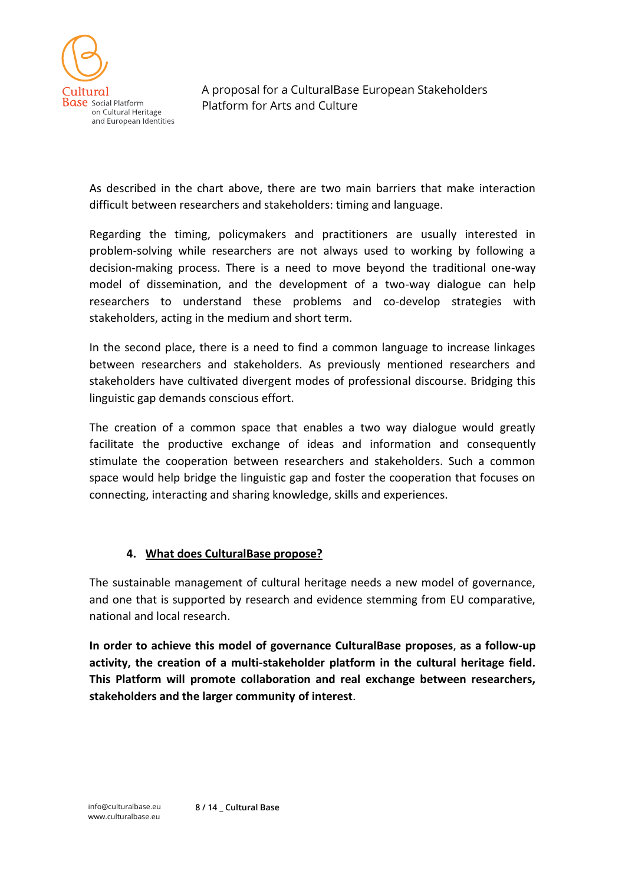

As described in the chart above, there are two main barriers that make interaction difficult between researchers and stakeholders: timing and language.

Regarding the timing, policymakers and practitioners are usually interested in problem-solving while researchers are not always used to working by following a decision-making process. There is a need to move beyond the traditional one-way model of dissemination, and the development of a two-way dialogue can help researchers to understand these problems and co-develop strategies with stakeholders, acting in the medium and short term.

In the second place, there is a need to find a common language to increase linkages between researchers and stakeholders. As previously mentioned researchers and stakeholders have cultivated divergent modes of professional discourse. Bridging this linguistic gap demands conscious effort.

The creation of a common space that enables a two way dialogue would greatly facilitate the productive exchange of ideas and information and consequently stimulate the cooperation between researchers and stakeholders. Such a common space would help bridge the linguistic gap and foster the cooperation that focuses on connecting, interacting and sharing knowledge, skills and experiences.

#### **4. What does CulturalBase propose?**

The sustainable management of cultural heritage needs a new model of governance, and one that is supported by research and evidence stemming from EU comparative, national and local research.

**In order to achieve this model of governance CulturalBase proposes**, **as a follow-up activity, the creation of a multi-stakeholder platform in the cultural heritage field. This Platform will promote collaboration and real exchange between researchers, stakeholders and the larger community of interest**.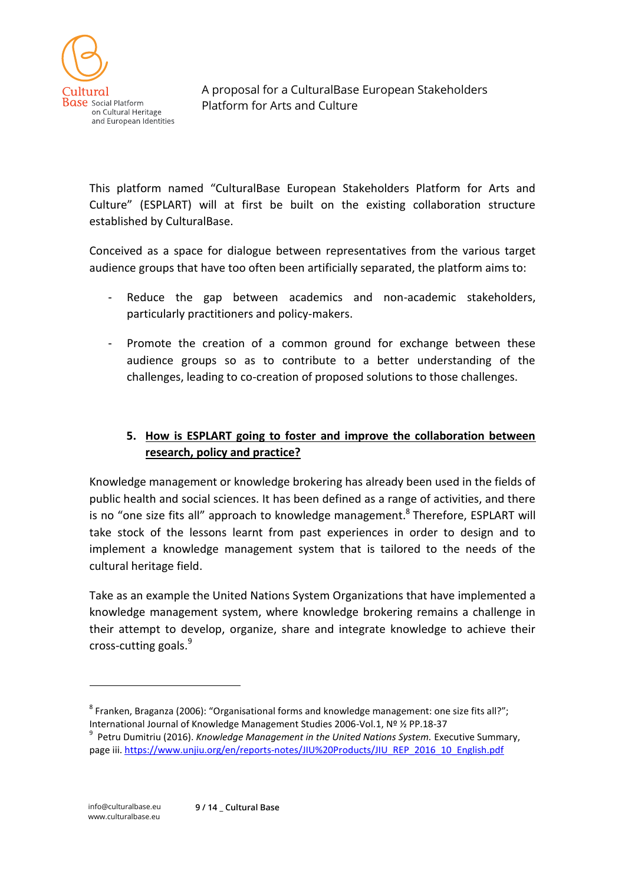

This platform named "CulturalBase European Stakeholders Platform for Arts and Culture" (ESPLART) will at first be built on the existing collaboration structure established by CulturalBase.

Conceived as a space for dialogue between representatives from the various target audience groups that have too often been artificially separated, the platform aims to:

- Reduce the gap between academics and non-academic stakeholders, particularly practitioners and policy-makers.
- Promote the creation of a common ground for exchange between these audience groups so as to contribute to a better understanding of the challenges, leading to co-creation of proposed solutions to those challenges.

## **5. How is ESPLART going to foster and improve the collaboration between research, policy and practice?**

Knowledge management or knowledge brokering has already been used in the fields of public health and social sciences. It has been defined as a range of activities, and there is no "one size fits all" approach to knowledge management.<sup>8</sup> Therefore, ESPLART will take stock of the lessons learnt from past experiences in order to design and to implement a knowledge management system that is tailored to the needs of the cultural heritage field.

Take as an example the United Nations System Organizations that have implemented a knowledge management system, where knowledge brokering remains a challenge in their attempt to develop, organize, share and integrate knowledge to achieve their cross-cutting goals.<sup>9</sup>

<sup>8</sup> Franken, Braganza (2006): "Organisational forms and knowledge management: one size fits all?"; International Journal of Knowledge Management Studies 2006-Vol.1, Nº ½ PP.18-37

<sup>&</sup>lt;sup>9</sup> Petru Dumitriu (2016). *Knowledge Management in the United Nations System.* Executive Summary, page iii[. https://www.unjiu.org/en/reports-notes/JIU%20Products/JIU\\_REP\\_2016\\_10\\_English.pdf](https://www.unjiu.org/en/reports-notes/JIU%20Products/JIU_REP_2016_10_English.pdf)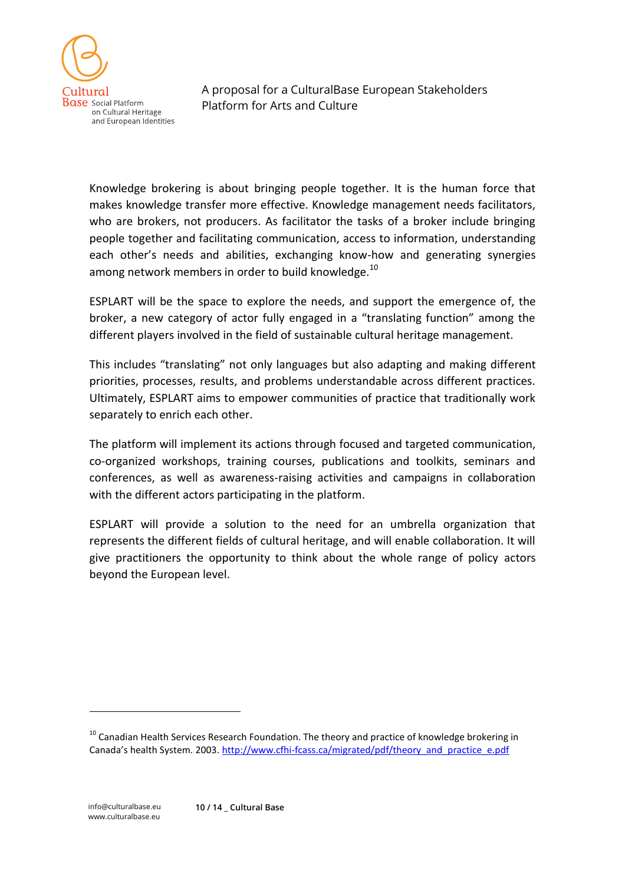

Knowledge brokering is about bringing people together. It is the human force that makes knowledge transfer more effective. Knowledge management needs facilitators, who are brokers, not producers. As facilitator the tasks of a broker include bringing people together and facilitating communication, access to information, understanding each other's needs and abilities, exchanging know-how and generating synergies among network members in order to build knowledge. $^{10}$ 

ESPLART will be the space to explore the needs, and support the emergence of, the broker, a new category of actor fully engaged in a "translating function" among the different players involved in the field of sustainable cultural heritage management.

This includes "translating" not only languages but also adapting and making different priorities, processes, results, and problems understandable across different practices. Ultimately, ESPLART aims to empower communities of practice that traditionally work separately to enrich each other.

The platform will implement its actions through focused and targeted communication, co-organized workshops, training courses, publications and toolkits, seminars and conferences, as well as awareness-raising activities and campaigns in collaboration with the different actors participating in the platform.

ESPLART will provide a solution to the need for an umbrella organization that represents the different fields of cultural heritage, and will enable collaboration. It will give practitioners the opportunity to think about the whole range of policy actors beyond the European level.

<sup>&</sup>lt;sup>10</sup> Canadian Health Services Research Foundation. The theory and practice of knowledge brokering in Canada's health System. 2003. [http://www.cfhi-fcass.ca/migrated/pdf/theory\\_and\\_practice\\_e.pdf](http://www.cfhi-fcass.ca/migrated/pdf/theory_and_practice_e.pdf)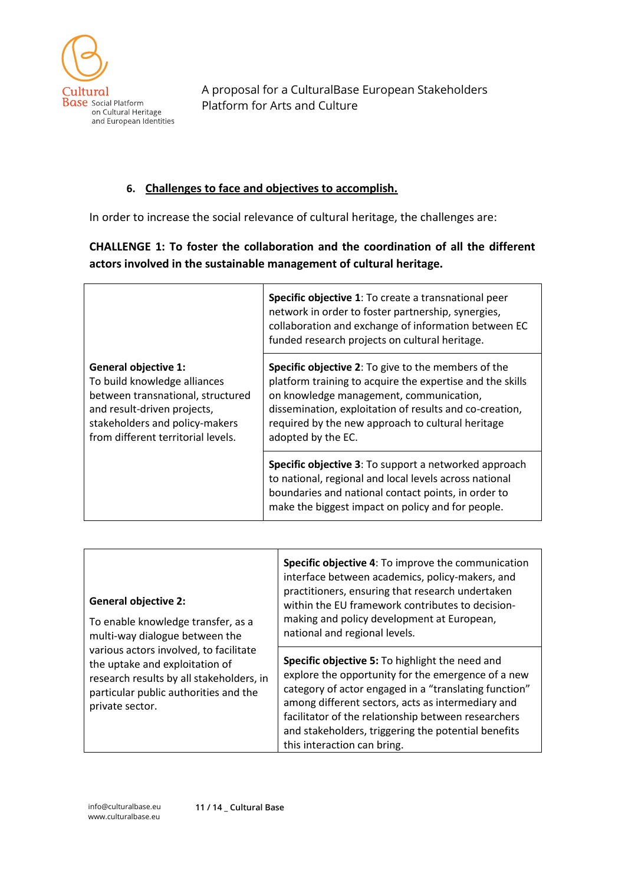

#### **6. Challenges to face and objectives to accomplish.**

In order to increase the social relevance of cultural heritage, the challenges are:

**CHALLENGE 1: To foster the collaboration and the coordination of all the different actors involved in the sustainable management of cultural heritage.**

|                                                                                                                                                                                                         | Specific objective 1: To create a transnational peer<br>network in order to foster partnership, synergies,<br>collaboration and exchange of information between EC<br>funded research projects on cultural heritage.                                                                                     |
|---------------------------------------------------------------------------------------------------------------------------------------------------------------------------------------------------------|----------------------------------------------------------------------------------------------------------------------------------------------------------------------------------------------------------------------------------------------------------------------------------------------------------|
| <b>General objective 1:</b><br>To build knowledge alliances<br>between transnational, structured<br>and result-driven projects,<br>stakeholders and policy-makers<br>from different territorial levels. | <b>Specific objective 2:</b> To give to the members of the<br>platform training to acquire the expertise and the skills<br>on knowledge management, communication,<br>dissemination, exploitation of results and co-creation,<br>required by the new approach to cultural heritage<br>adopted by the EC. |
|                                                                                                                                                                                                         | <b>Specific objective 3: To support a networked approach</b><br>to national, regional and local levels across national<br>boundaries and national contact points, in order to<br>make the biggest impact on policy and for people.                                                                       |

| <b>General objective 2:</b><br>To enable knowledge transfer, as a<br>multi-way dialogue between the<br>various actors involved, to facilitate<br>the uptake and exploitation of<br>research results by all stakeholders, in<br>particular public authorities and the<br>private sector. | Specific objective 4: To improve the communication<br>interface between academics, policy-makers, and<br>practitioners, ensuring that research undertaken<br>within the EU framework contributes to decision-<br>making and policy development at European,<br>national and regional levels.                                                                     |
|-----------------------------------------------------------------------------------------------------------------------------------------------------------------------------------------------------------------------------------------------------------------------------------------|------------------------------------------------------------------------------------------------------------------------------------------------------------------------------------------------------------------------------------------------------------------------------------------------------------------------------------------------------------------|
|                                                                                                                                                                                                                                                                                         | Specific objective 5: To highlight the need and<br>explore the opportunity for the emergence of a new<br>category of actor engaged in a "translating function"<br>among different sectors, acts as intermediary and<br>facilitator of the relationship between researchers<br>and stakeholders, triggering the potential benefits<br>this interaction can bring. |

Τ

 $\Gamma$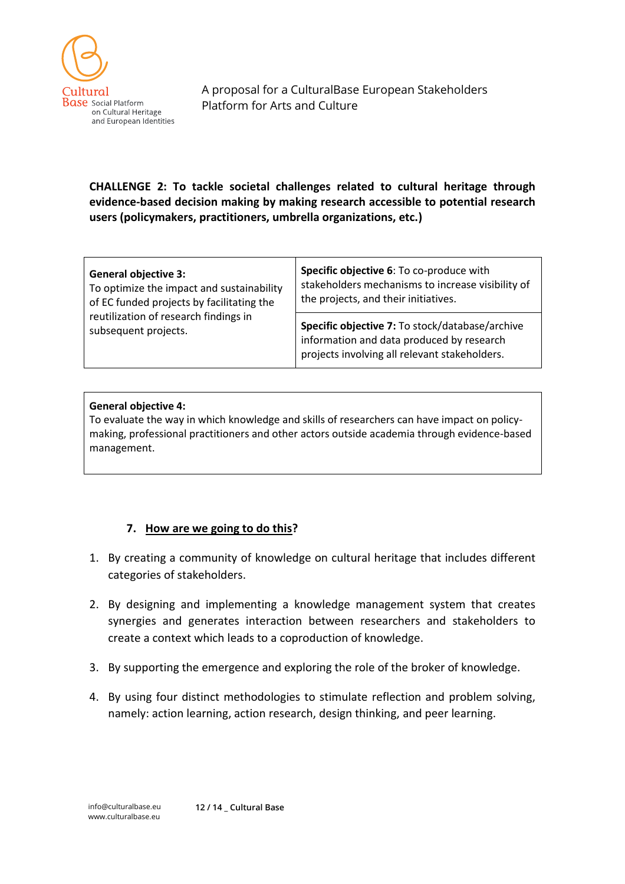

## **CHALLENGE 2: To tackle societal challenges related to cultural heritage through evidence-based decision making by making research accessible to potential research users (policymakers, practitioners, umbrella organizations, etc.)**

| <b>General objective 3:</b><br>To optimize the impact and sustainability<br>of EC funded projects by facilitating the<br>reutilization of research findings in<br>subsequent projects. | Specific objective 6: To co-produce with<br>stakeholders mechanisms to increase visibility of<br>the projects, and their initiatives.         |
|----------------------------------------------------------------------------------------------------------------------------------------------------------------------------------------|-----------------------------------------------------------------------------------------------------------------------------------------------|
|                                                                                                                                                                                        | Specific objective 7: To stock/database/archive<br>information and data produced by research<br>projects involving all relevant stakeholders. |

#### **General objective 4:**

To evaluate the way in which knowledge and skills of researchers can have impact on policymaking, professional practitioners and other actors outside academia through evidence-based management.

#### **7. How are we going to do this?**

- 1. By creating a community of knowledge on cultural heritage that includes different categories of stakeholders.
- 2. By designing and implementing a knowledge management system that creates synergies and generates interaction between researchers and stakeholders to create a context which leads to a coproduction of knowledge.
- 3. By supporting the emergence and exploring the role of the broker of knowledge.
- 4. By using four distinct methodologies to stimulate reflection and problem solving, namely: action learning, action research, design thinking, and peer learning.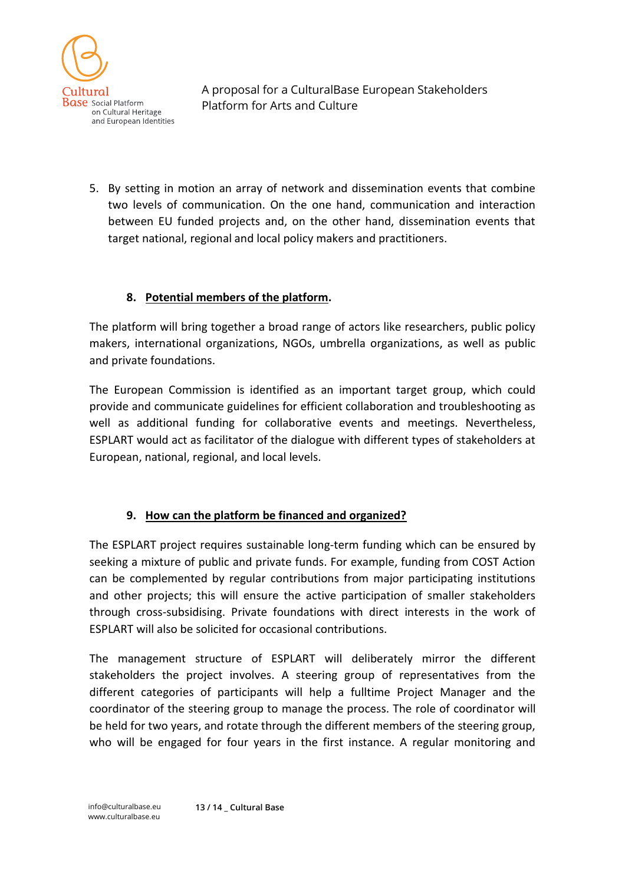

5. By setting in motion an array of network and dissemination events that combine two levels of communication. On the one hand, communication and interaction between EU funded projects and, on the other hand, dissemination events that target national, regional and local policy makers and practitioners.

## **8. Potential members of the platform.**

The platform will bring together a broad range of actors like researchers, public policy makers, international organizations, NGOs, umbrella organizations, as well as public and private foundations.

The European Commission is identified as an important target group, which could provide and communicate guidelines for efficient collaboration and troubleshooting as well as additional funding for collaborative events and meetings. Nevertheless, ESPLART would act as facilitator of the dialogue with different types of stakeholders at European, national, regional, and local levels.

#### **9. How can the platform be financed and organized?**

The ESPLART project requires sustainable long-term funding which can be ensured by seeking a mixture of public and private funds. For example, funding from COST Action can be complemented by regular contributions from major participating institutions and other projects; this will ensure the active participation of smaller stakeholders through cross-subsidising. Private foundations with direct interests in the work of ESPLART will also be solicited for occasional contributions.

The management structure of ESPLART will deliberately mirror the different stakeholders the project involves. A steering group of representatives from the different categories of participants will help a fulltime Project Manager and the coordinator of the steering group to manage the process. The role of coordinator will be held for two years, and rotate through the different members of the steering group, who will be engaged for four years in the first instance. A regular monitoring and